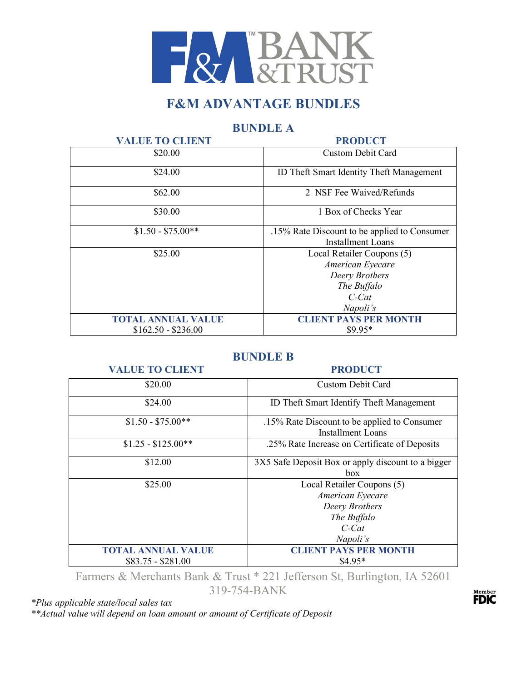

# **F&M ADVANTAGE BUNDLES**

# **BUNDLE A**

| <b>VALUE TO CLIENT</b>    | <b>PRODUCT</b>                                                                                          |
|---------------------------|---------------------------------------------------------------------------------------------------------|
| \$20.00                   | <b>Custom Debit Card</b>                                                                                |
| \$24.00                   | <b>ID Theft Smart Identity Theft Management</b>                                                         |
| \$62.00                   | 2 NSF Fee Waived/Refunds                                                                                |
| \$30.00                   | 1 Box of Checks Year                                                                                    |
| $$1.50 - $75.00**$$       | .15% Rate Discount to be applied to Consumer<br><b>Installment Loans</b>                                |
| \$25.00                   | Local Retailer Coupons (5)<br>American Eyecare<br>Deery Brothers<br>The Buffalo<br>$C$ -Cat<br>Napoli's |
| <b>TOTAL ANNUAL VALUE</b> | <b>CLIENT PAYS PER MONTH</b>                                                                            |
| $$162.50 - $236.00$       | $$9.95*$                                                                                                |

## **BUNDLE B**

### **VALUE TO CLIENT PRODUCT**

| \$20.00                                         | Custom Debit Card                                                                                       |
|-------------------------------------------------|---------------------------------------------------------------------------------------------------------|
| \$24.00                                         | ID Theft Smart Identify Theft Management                                                                |
| $$1.50 - $75.00**$                              | .15% Rate Discount to be applied to Consumer<br><b>Installment Loans</b>                                |
| $$1.25 - $125.00**$                             | .25% Rate Increase on Certificate of Deposits                                                           |
| \$12.00                                         | 3X5 Safe Deposit Box or apply discount to a bigger<br>box                                               |
| \$25.00                                         | Local Retailer Coupons (5)<br>American Eyecare<br>Deery Brothers<br>The Buffalo<br>$C$ -Cat<br>Napoli's |
| <b>TOTAL ANNUAL VALUE</b><br>$$83.75 - $281.00$ | <b>LIENT PAYS PER MONTH</b><br>$$4.95*$                                                                 |

Farmers & Merchants Bank & Trust \* 221 Jefferson St, Burlington, IA 52601 319-754-BANK

*\*Plus applicable state/local sales tax* 

*\*\*Actual value will depend on loan amount or amount of Certificate of Deposit*